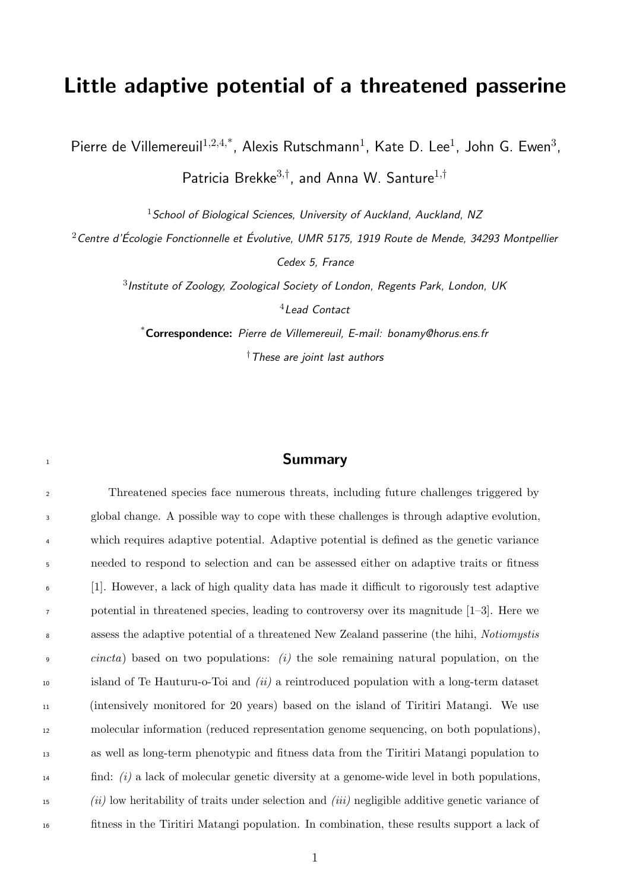## Little adaptive potential of a threatened passerine

Pierre de Villemereuil $1,2,4,^*$ , Alexis Rutschmann<sup>1</sup>, Kate D. Lee<sup>1</sup>, John G. Ewen<sup>3</sup>,

Patricia Brekke<sup>3,†</sup>, and Anna W. Santure<sup>1,†</sup>

School of Biological Sciences, University of Auckland, Auckland, NZ

Centre d'Écologie Fonctionnelle et Évolutive, UMR 5175, 1919 Route de Mende, 34293 Montpellier

Cedex 5, France

 $^3$ Institute of Zoology, Zoological Society of London, Regents Park, London, UK

Lead Contact

\*Correspondence: Pierre de Villemereuil, E-mail: bonamy@horus.ens.fr †These are joint last authors

#### 

 Threatened species face numerous threats, including future challenges triggered by global change. A possible way to cope with these challenges is through adaptive evolution, which requires adaptive potential. Adaptive potential is defined as the genetic variance needed to respond to selection and can be assessed either on adaptive traits or fitness [1]. However, a lack of high quality data has made it difficult to rigorously test adaptive potential in threatened species, leading to controversy over its magnitude [1–3]. Here we assess the adaptive potential of a threatened New Zealand passerine (the hihi, Notiomystis *cincta*) based on two populations: (i) the sole remaining natural population, on the island of Te Hauturu-o-Toi and (ii) a reintroduced population with a long-term dataset (intensively monitored for 20 years) based on the island of Tiritiri Matangi. We use molecular information (reduced representation genome sequencing, on both populations), as well as long-term phenotypic and fitness data from the Tiritiri Matangi population to find: (i) a lack of molecular genetic diversity at a genome-wide level in both populations, (ii) low heritability of traits under selection and (iii) negligible additive genetic variance of fitness in the Tiritiri Matangi population. In combination, these results support a lack of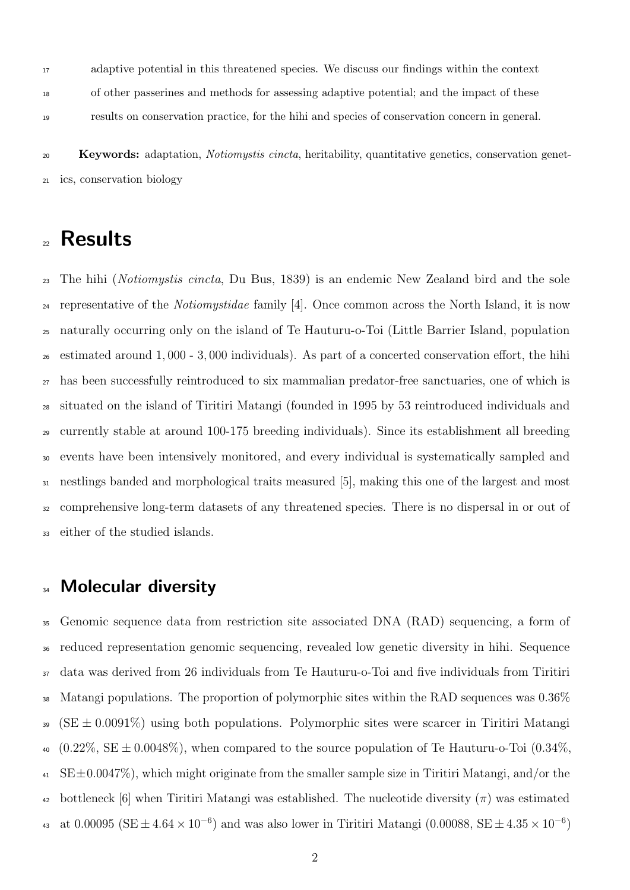adaptive potential in this threatened species. We discuss our findings within the context of other passerines and methods for assessing adaptive potential; and the impact of these results on conservation practice, for the hihi and species of conservation concern in general.

 Keywords: adaptation, Notiomystis cincta, heritability, quantitative genetics, conservation genet-ics, conservation biology

## Results

 The hihi (Notiomystis cincta, Du Bus, 1839) is an endemic New Zealand bird and the sole <sup>24</sup> representative of the *Notiomystidae* family [4]. Once common across the North Island, it is now naturally occurring only on the island of Te Hauturu-o-Toi (Little Barrier Island, population estimated around 1, 000 - 3, 000 individuals). As part of a concerted conservation effort, the hihi has been successfully reintroduced to six mammalian predator-free sanctuaries, one of which is situated on the island of Tiritiri Matangi (founded in 1995 by 53 reintroduced individuals and currently stable at around 100-175 breeding individuals). Since its establishment all breeding events have been intensively monitored, and every individual is systematically sampled and nestlings banded and morphological traits measured [5], making this one of the largest and most comprehensive long-term datasets of any threatened species. There is no dispersal in or out of either of the studied islands.

### 34 Molecular diversity

 Genomic sequence data from restriction site associated DNA (RAD) sequencing, a form of reduced representation genomic sequencing, revealed low genetic diversity in hihi. Sequence data was derived from 26 individuals from Te Hauturu-o-Toi and five individuals from Tiritiri 38 Matangi populations. The proportion of polymorphic sites within the RAD sequences was  $0.36\%$ <sup>39</sup> (SE  $\pm$  0.0091%) using both populations. Polymorphic sites were scarcer in Tiritiri Matangi  $40 \quad (0.22\%, \text{SE} \pm 0.0048\%)$ , when compared to the source population of Te Hauturu-o-Toi  $(0.34\%)$  $41 \text{ SE} \pm 0.0047\%$ , which might originate from the smaller sample size in Tiritiri Matangi, and/or the <sup>42</sup> bottleneck [6] when Tiritiri Matangi was established. The nucleotide diversity  $(\pi)$  was estimated 43 at 0.00095 (SE  $\pm$  4.64 × 10<sup>-6</sup>) and was also lower in Tiritiri Matangi (0.00088, SE  $\pm$  4.35 × 10<sup>-6</sup>)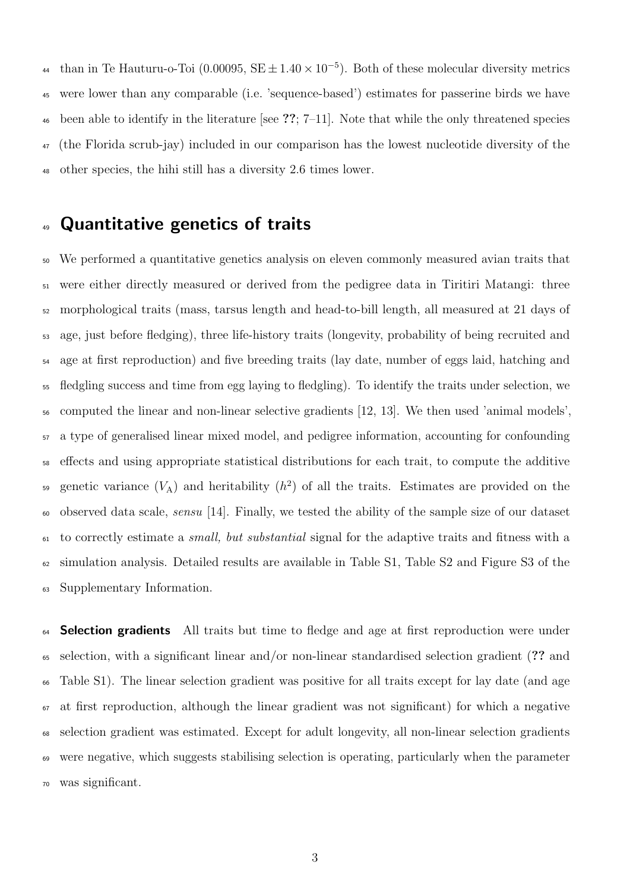<sup>44</sup> than in Te Hauturu-o-Toi (0.00095, SE  $\pm$  1.40  $\times$  10<sup>-5</sup>). Both of these molecular diversity metrics were lower than any comparable (i.e. 'sequence-based') estimates for passerine birds we have  $\frac{46}{10}$  been able to identify in the literature [see ??; 7–11]. Note that while the only threatened species (the Florida scrub-jay) included in our comparison has the lowest nucleotide diversity of the other species, the hihi still has a diversity 2.6 times lower.

### Quantitative genetics of traits

 We performed a quantitative genetics analysis on eleven commonly measured avian traits that were either directly measured or derived from the pedigree data in Tiritiri Matangi: three morphological traits (mass, tarsus length and head-to-bill length, all measured at 21 days of age, just before fledging), three life-history traits (longevity, probability of being recruited and age at first reproduction) and five breeding traits (lay date, number of eggs laid, hatching and fledgling success and time from egg laying to fledgling). To identify the traits under selection, we computed the linear and non-linear selective gradients [12, 13]. We then used 'animal models', a type of generalised linear mixed model, and pedigree information, accounting for confounding effects and using appropriate statistical distributions for each trait, to compute the additive so genetic variance  $(V_A)$  and heritability  $(h^2)$  of all the traits. Estimates are provided on the observed data scale, sensu [14]. Finally, we tested the ability of the sample size of our dataset to correctly estimate a small, but substantial signal for the adaptive traits and fitness with a simulation analysis. Detailed results are available in Table S1, Table S2 and Figure S3 of the Supplementary Information.

 Selection gradients All traits but time to fledge and age at first reproduction were under selection, with a significant linear and/or non-linear standardised selection gradient (?? and Table S1). The linear selection gradient was positive for all traits except for lay date (and age  $\sigma$  at first reproduction, although the linear gradient was not significant) for which a negative selection gradient was estimated. Except for adult longevity, all non-linear selection gradients were negative, which suggests stabilising selection is operating, particularly when the parameter was significant.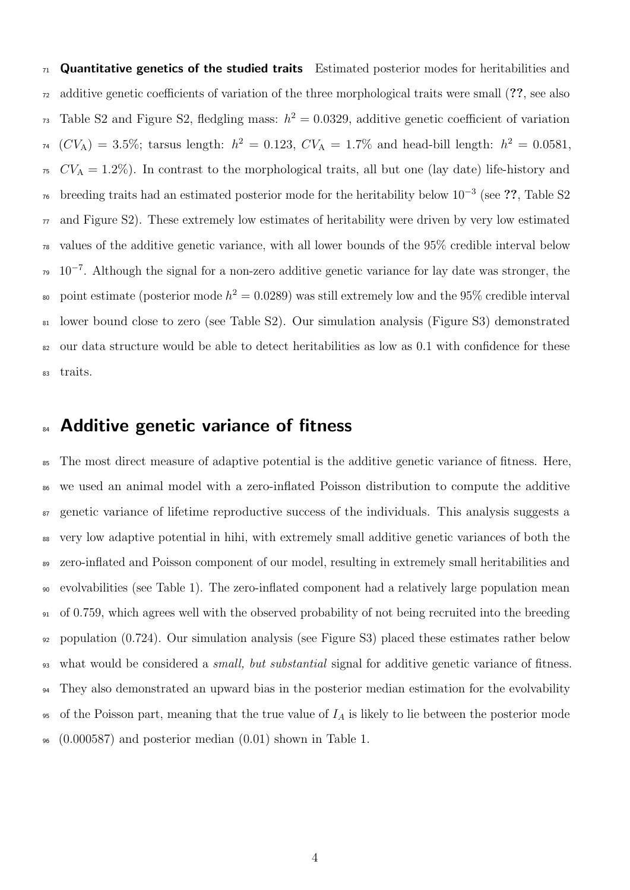Quantitative genetics of the studied traits Estimated posterior modes for heritabilities and additive genetic coefficients of variation of the three morphological traits were small (??, see also <sup>73</sup> Table S2 and Figure S2, fledgling mass:  $h^2 = 0.0329$ , additive genetic coefficient of variation  $U_{74}$  (CV<sub>A</sub>) = 3.5%; tarsus length:  $h^2 = 0.123$ , CV<sub>A</sub> = 1.7% and head-bill length:  $h^2 = 0.0581$ ,  $CV_A = 1.2\%)$ . In contrast to the morphological traits, all but one (lay date) life-history and <sup>76</sup> breeding traits had an estimated posterior mode for the heritability below  $10^{-3}$  (see ??, Table S2 and Figure S2). These extremely low estimates of heritability were driven by very low estimated values of the additive genetic variance, with all lower bounds of the 95% credible interval below <sup>79</sup> 10<sup>-7</sup>. Although the signal for a non-zero additive genetic variance for lay date was stronger, the so point estimate (posterior mode  $h^2 = 0.0289$ ) was still extremely low and the 95% credible interval lower bound close to zero (see Table S2). Our simulation analysis (Figure S3) demonstrated our data structure would be able to detect heritabilities as low as 0.1 with confidence for these traits.

### 84 Additive genetic variance of fitness

 The most direct measure of adaptive potential is the additive genetic variance of fitness. Here, we used an animal model with a zero-inflated Poisson distribution to compute the additive genetic variance of lifetime reproductive success of the individuals. This analysis suggests a very low adaptive potential in hihi, with extremely small additive genetic variances of both the zero-inflated and Poisson component of our model, resulting in extremely small heritabilities and evolvabilities (see Table 1). The zero-inflated component had a relatively large population mean of 0.759, which agrees well with the observed probability of not being recruited into the breeding population (0.724). Our simulation analysis (see Figure S3) placed these estimates rather below <sup>93</sup> what would be considered a *small, but substantial* signal for additive genetic variance of fitness. They also demonstrated an upward bias in the posterior median estimation for the evolvability 95 of the Poisson part, meaning that the true value of  $I_A$  is likely to lie between the posterior mode (0.000587) and posterior median (0.01) shown in Table 1.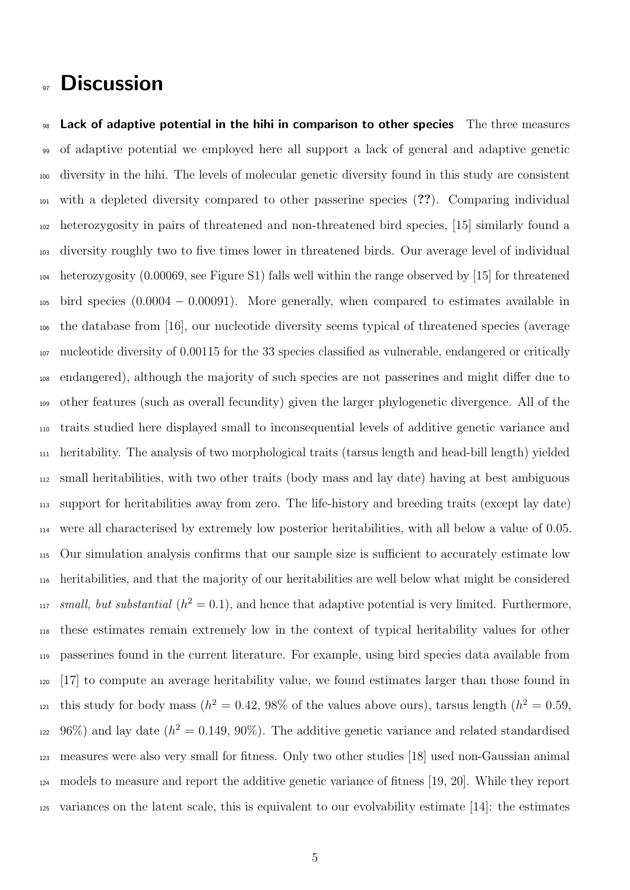## **97 Discussion**

 Lack of adaptive potential in the hihi in comparison to other species The three measures of adaptive potential we employed here all support a lack of general and adaptive genetic diversity in the hihi. The levels of molecular genetic diversity found in this study are consistent with a depleted diversity compared to other passerine species (??). Comparing individual heterozygosity in pairs of threatened and non-threatened bird species, [15] similarly found a diversity roughly two to five times lower in threatened birds. Our average level of individual heterozygosity (0.00069, see Figure S1) falls well within the range observed by [15] for threatened  $_{105}$  bird species (0.0004 – 0.00091). More generally, when compared to estimates available in the database from [16], our nucleotide diversity seems typical of threatened species (average nucleotide diversity of 0.00115 for the 33 species classified as vulnerable, endangered or critically endangered), although the majority of such species are not passerines and might differ due to other features (such as overall fecundity) given the larger phylogenetic divergence. All of the traits studied here displayed small to inconsequential levels of additive genetic variance and heritability. The analysis of two morphological traits (tarsus length and head-bill length) yielded small heritabilities, with two other traits (body mass and lay date) having at best ambiguous support for heritabilities away from zero. The life-history and breeding traits (except lay date) were all characterised by extremely low posterior heritabilities, with all below a value of 0.05. Our simulation analysis confirms that our sample size is sufficient to accurately estimate low heritabilities, and that the majority of our heritabilities are well below what might be considered <sup>117</sup> small, but substantial  $(h^2 = 0.1)$ , and hence that adaptive potential is very limited. Furthermore, these estimates remain extremely low in the context of typical heritability values for other passerines found in the current literature. For example, using bird species data available from [17] to compute an average heritability value, we found estimates larger than those found in this study for body mass ( $h^2 = 0.42$ , 98% of the values above ours), tarsus length ( $h^2 = 0.59$ , <sup>122</sup> 96%) and lay date ( $h^2 = 0.149, 90\%$ ). The additive genetic variance and related standardised measures were also very small for fitness. Only two other studies [18] used non-Gaussian animal models to measure and report the additive genetic variance of fitness [19, 20]. While they report variances on the latent scale, this is equivalent to our evolvability estimate [14]: the estimates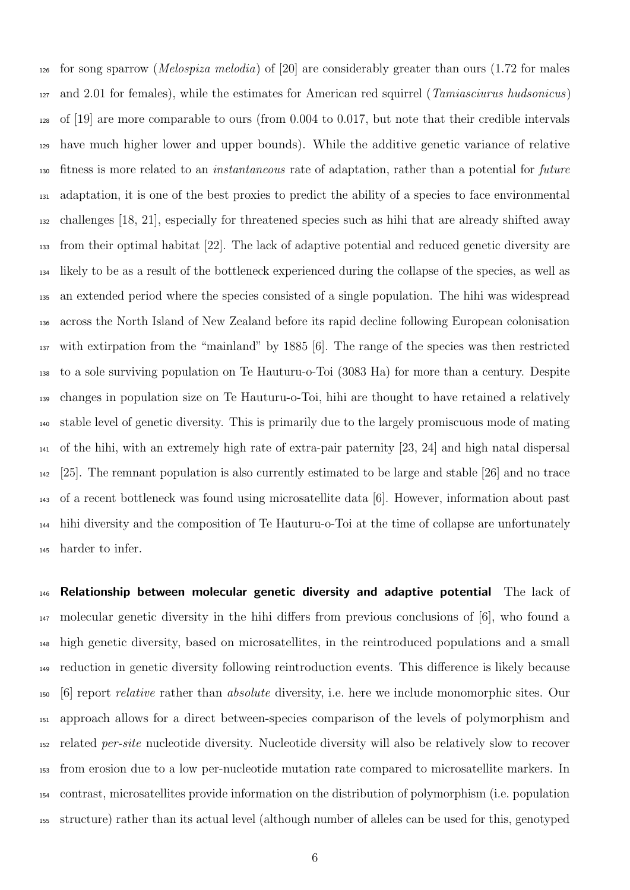126 for song sparrow (*Melospiza melodia*) of [20] are considerably greater than ours (1.72 for males and 2.01 for females), while the estimates for American red squirrel (Tamiasciurus hudsonicus) of [19] are more comparable to ours (from 0.004 to 0.017, but note that their credible intervals have much higher lower and upper bounds). While the additive genetic variance of relative fitness is more related to an instantaneous rate of adaptation, rather than a potential for future adaptation, it is one of the best proxies to predict the ability of a species to face environmental challenges [18, 21], especially for threatened species such as hihi that are already shifted away from their optimal habitat [22]. The lack of adaptive potential and reduced genetic diversity are likely to be as a result of the bottleneck experienced during the collapse of the species, as well as an extended period where the species consisted of a single population. The hihi was widespread across the North Island of New Zealand before its rapid decline following European colonisation with extirpation from the "mainland" by 1885 [6]. The range of the species was then restricted to a sole surviving population on Te Hauturu-o-Toi (3083 Ha) for more than a century. Despite changes in population size on Te Hauturu-o-Toi, hihi are thought to have retained a relatively stable level of genetic diversity. This is primarily due to the largely promiscuous mode of mating of the hihi, with an extremely high rate of extra-pair paternity [23, 24] and high natal dispersal [25]. The remnant population is also currently estimated to be large and stable [26] and no trace of a recent bottleneck was found using microsatellite data [6]. However, information about past hihi diversity and the composition of Te Hauturu-o-Toi at the time of collapse are unfortunately harder to infer.

146 Relationship between molecular genetic diversity and adaptive potential The lack of molecular genetic diversity in the hihi differs from previous conclusions of [6], who found a high genetic diversity, based on microsatellites, in the reintroduced populations and a small reduction in genetic diversity following reintroduction events. This difference is likely because [6] report relative rather than absolute diversity, i.e. here we include monomorphic sites. Our approach allows for a direct between-species comparison of the levels of polymorphism and related per-site nucleotide diversity. Nucleotide diversity will also be relatively slow to recover from erosion due to a low per-nucleotide mutation rate compared to microsatellite markers. In contrast, microsatellites provide information on the distribution of polymorphism (i.e. population structure) rather than its actual level (although number of alleles can be used for this, genotyped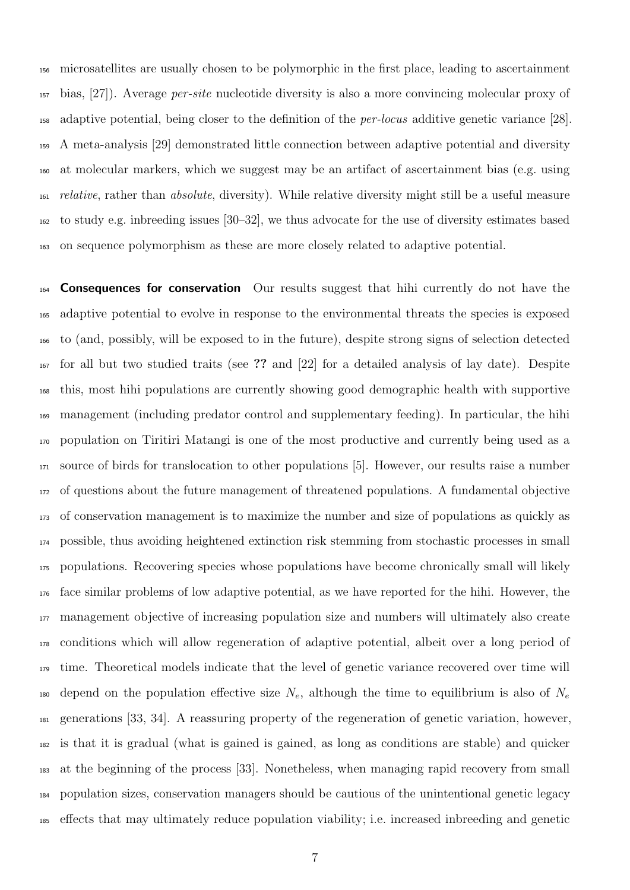microsatellites are usually chosen to be polymorphic in the first place, leading to ascertainment bias, [27]). Average per-site nucleotide diversity is also a more convincing molecular proxy of adaptive potential, being closer to the definition of the per-locus additive genetic variance [28]. A meta-analysis [29] demonstrated little connection between adaptive potential and diversity at molecular markers, which we suggest may be an artifact of ascertainment bias (e.g. using relative, rather than absolute, diversity). While relative diversity might still be a useful measure to study e.g. inbreeding issues [30–32], we thus advocate for the use of diversity estimates based on sequence polymorphism as these are more closely related to adaptive potential.

**Consequences for conservation** Our results suggest that hihi currently do not have the adaptive potential to evolve in response to the environmental threats the species is exposed to (and, possibly, will be exposed to in the future), despite strong signs of selection detected for all but two studied traits (see ?? and [22] for a detailed analysis of lay date). Despite this, most hihi populations are currently showing good demographic health with supportive management (including predator control and supplementary feeding). In particular, the hihi population on Tiritiri Matangi is one of the most productive and currently being used as a source of birds for translocation to other populations [5]. However, our results raise a number of questions about the future management of threatened populations. A fundamental objective of conservation management is to maximize the number and size of populations as quickly as possible, thus avoiding heightened extinction risk stemming from stochastic processes in small populations. Recovering species whose populations have become chronically small will likely face similar problems of low adaptive potential, as we have reported for the hihi. However, the management objective of increasing population size and numbers will ultimately also create conditions which will allow regeneration of adaptive potential, albeit over a long period of time. Theoretical models indicate that the level of genetic variance recovered over time will 180 depend on the population effective size  $N_e$ , although the time to equilibrium is also of  $N_e$  generations [33, 34]. A reassuring property of the regeneration of genetic variation, however, is that it is gradual (what is gained is gained, as long as conditions are stable) and quicker at the beginning of the process [33]. Nonetheless, when managing rapid recovery from small population sizes, conservation managers should be cautious of the unintentional genetic legacy effects that may ultimately reduce population viability; i.e. increased inbreeding and genetic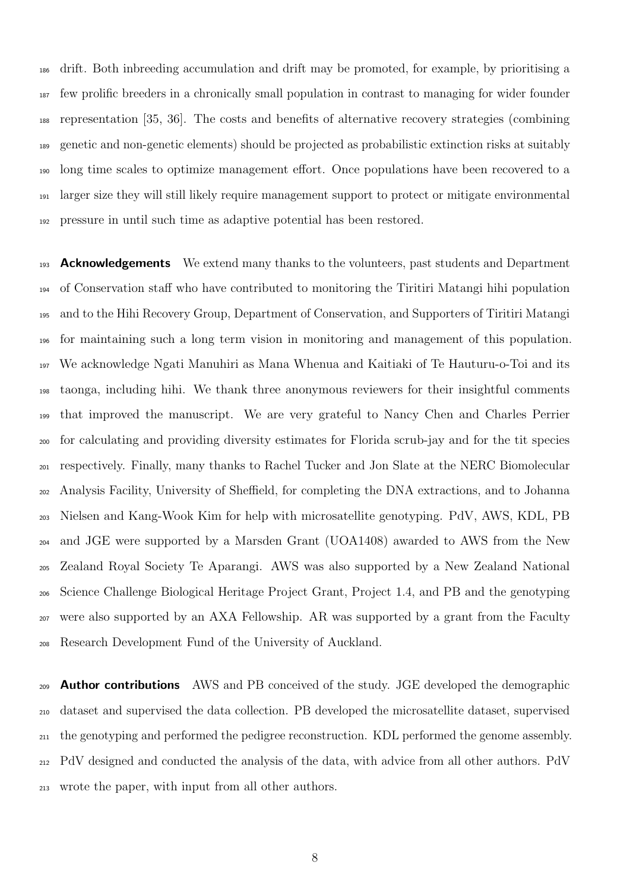drift. Both inbreeding accumulation and drift may be promoted, for example, by prioritising a few prolific breeders in a chronically small population in contrast to managing for wider founder representation [35, 36]. The costs and benefits of alternative recovery strategies (combining genetic and non-genetic elements) should be projected as probabilistic extinction risks at suitably long time scales to optimize management effort. Once populations have been recovered to a larger size they will still likely require management support to protect or mitigate environmental pressure in until such time as adaptive potential has been restored.

<sup>193</sup> **Acknowledgements** We extend many thanks to the volunteers, past students and Department of Conservation staff who have contributed to monitoring the Tiritiri Matangi hihi population and to the Hihi Recovery Group, Department of Conservation, and Supporters of Tiritiri Matangi for maintaining such a long term vision in monitoring and management of this population. We acknowledge Ngati Manuhiri as Mana Whenua and Kaitiaki of Te Hauturu-o-Toi and its taonga, including hihi. We thank three anonymous reviewers for their insightful comments that improved the manuscript. We are very grateful to Nancy Chen and Charles Perrier for calculating and providing diversity estimates for Florida scrub-jay and for the tit species respectively. Finally, many thanks to Rachel Tucker and Jon Slate at the NERC Biomolecular Analysis Facility, University of Sheffield, for completing the DNA extractions, and to Johanna Nielsen and Kang-Wook Kim for help with microsatellite genotyping. PdV, AWS, KDL, PB and JGE were supported by a Marsden Grant (UOA1408) awarded to AWS from the New Zealand Royal Society Te Aparangi. AWS was also supported by a New Zealand National Science Challenge Biological Heritage Project Grant, Project 1.4, and PB and the genotyping were also supported by an AXA Fellowship. AR was supported by a grant from the Faculty Research Development Fund of the University of Auckland.

<sup>209</sup> **Author contributions** AWS and PB conceived of the study. JGE developed the demographic dataset and supervised the data collection. PB developed the microsatellite dataset, supervised the genotyping and performed the pedigree reconstruction. KDL performed the genome assembly. PdV designed and conducted the analysis of the data, with advice from all other authors. PdV wrote the paper, with input from all other authors.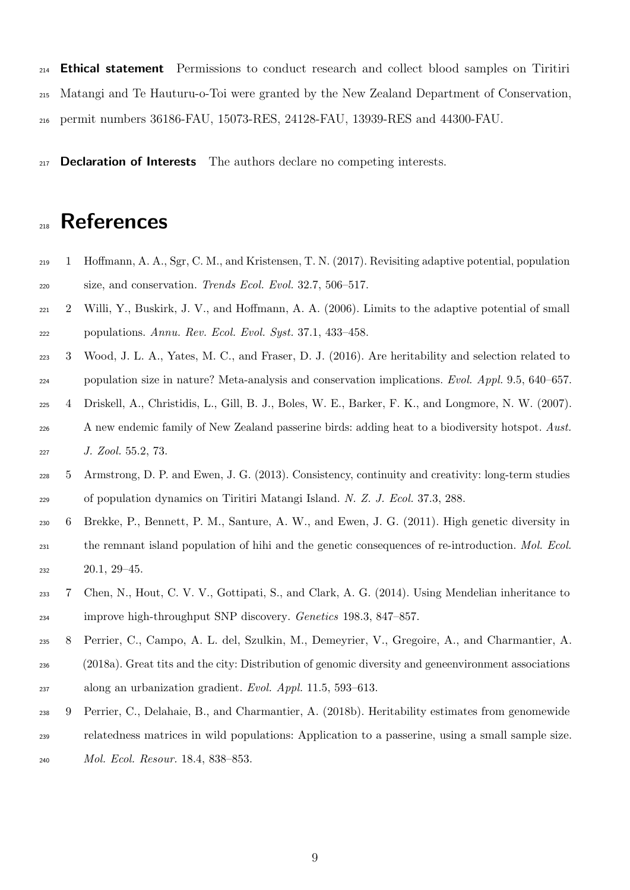<sup>214</sup> Ethical statement Permissions to conduct research and collect blood samples on Tiritiri Matangi and Te Hauturu-o-Toi were granted by the New Zealand Department of Conservation, permit numbers 36186-FAU, 15073-RES, 24128-FAU, 13939-RES and 44300-FAU.

 $_{217}$  **Declaration of Interests** The authors declare no competing interests.

# References

- 1 Hoffmann, A. A., Sgr, C. M., and Kristensen, T. N. (2017). Revisiting adaptive potential, population size, and conservation. Trends Ecol. Evol. 32.7, 506–517.
- 2 Willi, Y., Buskirk, J. V., and Hoffmann, A. A. (2006). Limits to the adaptive potential of small populations. Annu. Rev. Ecol. Evol. Syst. 37.1, 433–458.
- 3 Wood, J. L. A., Yates, M. C., and Fraser, D. J. (2016). Are heritability and selection related to population size in nature? Meta-analysis and conservation implications. Evol. Appl. 9.5, 640–657.
- 4 Driskell, A., Christidis, L., Gill, B. J., Boles, W. E., Barker, F. K., and Longmore, N. W. (2007). A new endemic family of New Zealand passerine birds: adding heat to a biodiversity hotspot. Aust. J. Zool. 55.2, 73.
- 5 Armstrong, D. P. and Ewen, J. G. (2013). Consistency, continuity and creativity: long-term studies of population dynamics on Tiritiri Matangi Island. N. Z. J. Ecol. 37.3, 288.
- 6 Brekke, P., Bennett, P. M., Santure, A. W., and Ewen, J. G. (2011). High genetic diversity in the remnant island population of hihi and the genetic consequences of re-introduction. Mol. Ecol. 20.1, 29–45.
- 7 Chen, N., Hout, C. V. V., Gottipati, S., and Clark, A. G. (2014). Using Mendelian inheritance to improve high-throughput SNP discovery. Genetics 198.3, 847–857.
- 8 Perrier, C., Campo, A. L. del, Szulkin, M., Demeyrier, V., Gregoire, A., and Charmantier, A. (2018a). Great tits and the city: Distribution of genomic diversity and geneenvironment associations
- along an urbanization gradient. Evol. Appl. 11.5, 593–613.
- 9 Perrier, C., Delahaie, B., and Charmantier, A. (2018b). Heritability estimates from genomewide relatedness matrices in wild populations: Application to a passerine, using a small sample size. Mol. Ecol. Resour. 18.4, 838–853.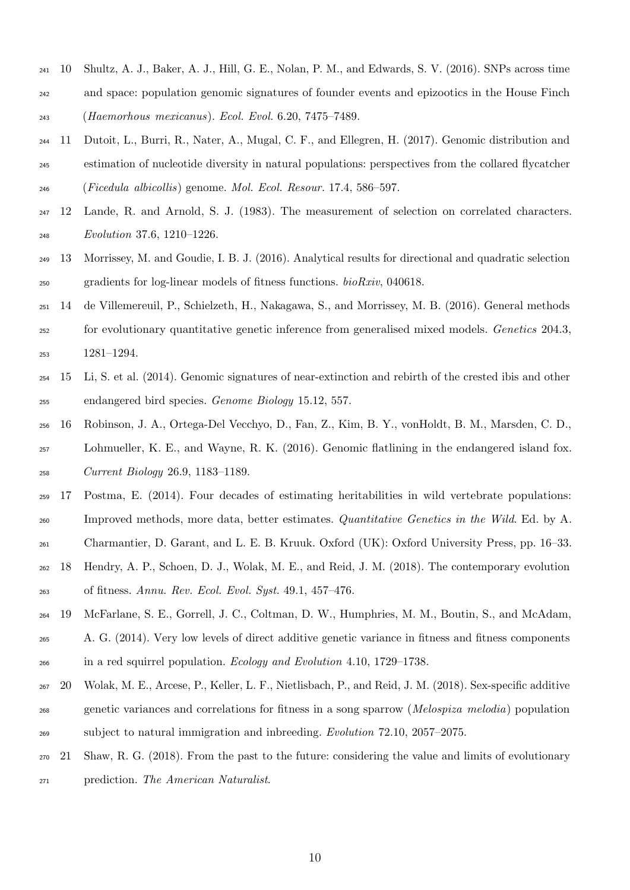- 10 Shultz, A. J., Baker, A. J., Hill, G. E., Nolan, P. M., and Edwards, S. V. (2016). SNPs across time and space: population genomic signatures of founder events and epizootics in the House Finch (Haemorhous mexicanus). Ecol. Evol. 6.20, 7475–7489.
- 11 Dutoit, L., Burri, R., Nater, A., Mugal, C. F., and Ellegren, H. (2017). Genomic distribution and estimation of nucleotide diversity in natural populations: perspectives from the collared flycatcher (Ficedula albicollis) genome. Mol. Ecol. Resour. 17.4, 586–597.
- 12 Lande, R. and Arnold, S. J. (1983). The measurement of selection on correlated characters. Evolution 37.6, 1210–1226.
- 13 Morrissey, M. and Goudie, I. B. J. (2016). Analytical results for directional and quadratic selection gradients for log-linear models of fitness functions. bioRxiv, 040618.
- 14 de Villemereuil, P., Schielzeth, H., Nakagawa, S., and Morrissey, M. B. (2016). General methods for evolutionary quantitative genetic inference from generalised mixed models. Genetics 204.3, 1281–1294.
- 15 Li, S. et al. (2014). Genomic signatures of near-extinction and rebirth of the crested ibis and other endangered bird species. Genome Biology 15.12, 557.
- 16 Robinson, J. A., Ortega-Del Vecchyo, D., Fan, Z., Kim, B. Y., vonHoldt, B. M., Marsden, C. D., Lohmueller, K. E., and Wayne, R. K. (2016). Genomic flatlining in the endangered island fox. Current Biology 26.9, 1183–1189.
- 17 Postma, E. (2014). Four decades of estimating heritabilities in wild vertebrate populations: <sup>260</sup> Improved methods, more data, better estimates. *Quantitative Genetics in the Wild.* Ed. by A.
- Charmantier, D. Garant, and L. E. B. Kruuk. Oxford (UK): Oxford University Press, pp. 16–33.
- 18 Hendry, A. P., Schoen, D. J., Wolak, M. E., and Reid, J. M. (2018). The contemporary evolution of fitness. Annu. Rev. Ecol. Evol. Syst. 49.1, 457–476.
- 19 McFarlane, S. E., Gorrell, J. C., Coltman, D. W., Humphries, M. M., Boutin, S., and McAdam, A. G. (2014). Very low levels of direct additive genetic variance in fitness and fitness components in a red squirrel population. Ecology and Evolution 4.10, 1729–1738.
- 20 Wolak, M. E., Arcese, P., Keller, L. F., Nietlisbach, P., and Reid, J. M. (2018). Sex-specific additive genetic variances and correlations for fitness in a song sparrow (Melospiza melodia) population subject to natural immigration and inbreeding. Evolution 72.10, 2057–2075.
- 21 Shaw, R. G. (2018). From the past to the future: considering the value and limits of evolutionary prediction. The American Naturalist.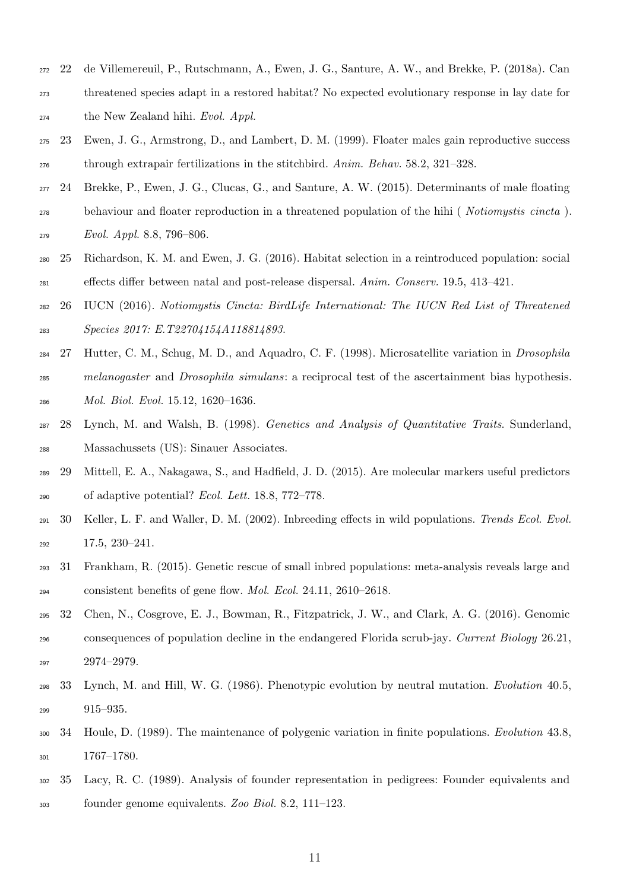- 22 de Villemereuil, P., Rutschmann, A., Ewen, J. G., Santure, A. W., and Brekke, P. (2018a). Can
- threatened species adapt in a restored habitat? No expected evolutionary response in lay date for  $_{274}$  the New Zealand hihi. Evol. Appl.
- 23 Ewen, J. G., Armstrong, D., and Lambert, D. M. (1999). Floater males gain reproductive success through extrapair fertilizations in the stitchbird. Anim. Behav. 58.2, 321–328.
- 24 Brekke, P., Ewen, J. G., Clucas, G., and Santure, A. W. (2015). Determinants of male floating behaviour and floater reproduction in a threatened population of the hihi ( Notiomystis cincta ). Evol. Appl. 8.8, 796–806.
- 25 Richardson, K. M. and Ewen, J. G. (2016). Habitat selection in a reintroduced population: social effects differ between natal and post-release dispersal. Anim. Conserv. 19.5, 413–421.
- 26 IUCN (2016). Notiomystis Cincta: BirdLife International: The IUCN Red List of Threatened Species 2017: E.T22704154A118814893.
- 27 Hutter, C. M., Schug, M. D., and Aquadro, C. F. (1998). Microsatellite variation in Drosophila melanogaster and Drosophila simulans: a reciprocal test of the ascertainment bias hypothesis. Mol. Biol. Evol. 15.12, 1620–1636.
- 28 Lynch, M. and Walsh, B. (1998). Genetics and Analysis of Quantitative Traits. Sunderland, Massachussets (US): Sinauer Associates.
- 29 Mittell, E. A., Nakagawa, S., and Hadfield, J. D. (2015). Are molecular markers useful predictors of adaptive potential? Ecol. Lett. 18.8, 772–778.
- 30 Keller, L. F. and Waller, D. M. (2002). Inbreeding effects in wild populations. Trends Ecol. Evol. 17.5, 230–241.
- 31 Frankham, R. (2015). Genetic rescue of small inbred populations: meta-analysis reveals large and consistent benefits of gene flow. Mol. Ecol. 24.11, 2610–2618.
- 32 Chen, N., Cosgrove, E. J., Bowman, R., Fitzpatrick, J. W., and Clark, A. G. (2016). Genomic consequences of population decline in the endangered Florida scrub-jay. Current Biology 26.21, 2974–2979.
- 33 Lynch, M. and Hill, W. G. (1986). Phenotypic evolution by neutral mutation. Evolution 40.5, 915–935.
- 34 Houle, D. (1989). The maintenance of polygenic variation in finite populations. Evolution 43.8, 1767–1780.
- 35 Lacy, R. C. (1989). Analysis of founder representation in pedigrees: Founder equivalents and founder genome equivalents. Zoo Biol. 8.2, 111–123.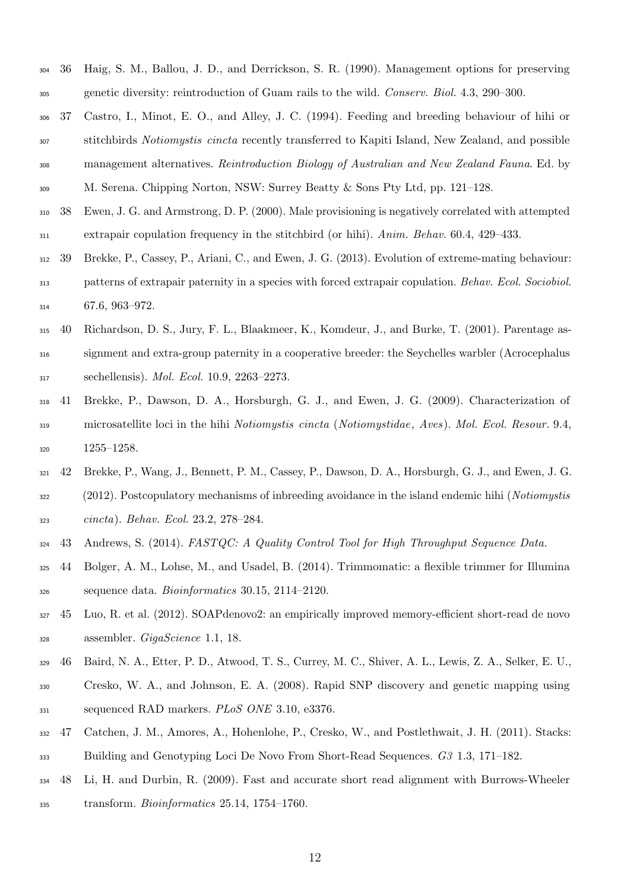- 36 Haig, S. M., Ballou, J. D., and Derrickson, S. R. (1990). Management options for preserving genetic diversity: reintroduction of Guam rails to the wild. Conserv. Biol. 4.3, 290–300.
- 37 Castro, I., Minot, E. O., and Alley, J. C. (1994). Feeding and breeding behaviour of hihi or stitchbirds Notiomystis cincta recently transferred to Kapiti Island, New Zealand, and possible <sup>308</sup> management alternatives. Reintroduction Biology of Australian and New Zealand Fauna. Ed. by M. Serena. Chipping Norton, NSW: Surrey Beatty & Sons Pty Ltd, pp. 121–128.
- 38 Ewen, J. G. and Armstrong, D. P. (2000). Male provisioning is negatively correlated with attempted extrapair copulation frequency in the stitchbird (or hihi). Anim. Behav. 60.4, 429–433.
- 39 Brekke, P., Cassey, P., Ariani, C., and Ewen, J. G. (2013). Evolution of extreme-mating behaviour: patterns of extrapair paternity in a species with forced extrapair copulation. Behav. Ecol. Sociobiol. 67.6, 963–972.
- 40 Richardson, D. S., Jury, F. L., Blaakmeer, K., Komdeur, J., and Burke, T. (2001). Parentage as-
- signment and extra-group paternity in a cooperative breeder: the Seychelles warbler (Acrocephalus sechellensis). Mol. Ecol. 10.9, 2263–2273.
- 41 Brekke, P., Dawson, D. A., Horsburgh, G. J., and Ewen, J. G. (2009). Characterization of microsatellite loci in the hihi Notiomystis cincta (Notiomystidae, Aves). Mol. Ecol. Resour. 9.4, 1255–1258.
- 42 Brekke, P., Wang, J., Bennett, P. M., Cassey, P., Dawson, D. A., Horsburgh, G. J., and Ewen, J. G. (2012). Postcopulatory mechanisms of inbreeding avoidance in the island endemic hihi (Notiomystis cincta). Behav. Ecol. 23.2, 278–284.
- 43 Andrews, S. (2014). FASTQC: A Quality Control Tool for High Throughput Sequence Data.
- 44 Bolger, A. M., Lohse, M., and Usadel, B. (2014). Trimmomatic: a flexible trimmer for Illumina sequence data. Bioinformatics 30.15, 2114–2120.
- 45 Luo, R. et al. (2012). SOAPdenovo2: an empirically improved memory-efficient short-read de novo assembler. GigaScience 1.1, 18.
- 46 Baird, N. A., Etter, P. D., Atwood, T. S., Currey, M. C., Shiver, A. L., Lewis, Z. A., Selker, E. U.,
- Cresko, W. A., and Johnson, E. A. (2008). Rapid SNP discovery and genetic mapping using <sup>331</sup> sequenced RAD markers. *PLoS ONE* 3.10, e3376.
- 47 Catchen, J. M., Amores, A., Hohenlohe, P., Cresko, W., and Postlethwait, J. H. (2011). Stacks: Building and Genotyping Loci De Novo From Short-Read Sequences. G3 1.3, 171–182.
- 48 Li, H. and Durbin, R. (2009). Fast and accurate short read alignment with Burrows-Wheeler transform. Bioinformatics 25.14, 1754–1760.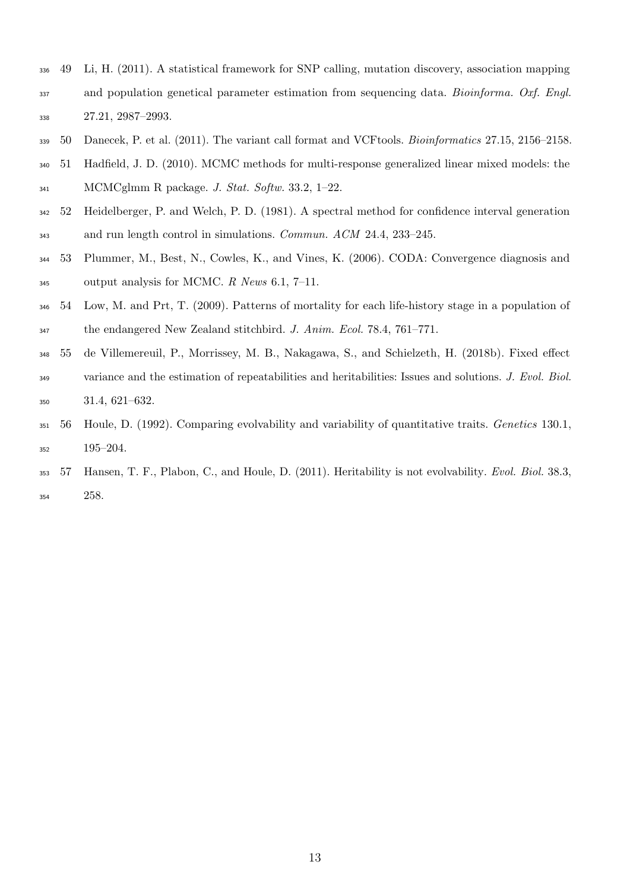- 49 Li, H. (2011). A statistical framework for SNP calling, mutation discovery, association mapping and population genetical parameter estimation from sequencing data. Bioinforma. Oxf. Engl. 27.21, 2987–2993.
- 339 50 Danecek, P. et al. (2011). The variant call format and VCF tools. *Bioinformatics* 27.15, 2156–2158.
- 51 Hadfield, J. D. (2010). MCMC methods for multi-response generalized linear mixed models: the MCMCglmm R package. J. Stat. Softw. 33.2, 1–22.
- 52 Heidelberger, P. and Welch, P. D. (1981). A spectral method for confidence interval generation and run length control in simulations. Commun. ACM 24.4, 233–245.
- 53 Plummer, M., Best, N., Cowles, K., and Vines, K. (2006). CODA: Convergence diagnosis and output analysis for MCMC. R News 6.1, 7–11.
- 54 Low, M. and Prt, T. (2009). Patterns of mortality for each life-history stage in a population of the endangered New Zealand stitchbird. J. Anim. Ecol. 78.4, 761–771.
- 55 de Villemereuil, P., Morrissey, M. B., Nakagawa, S., and Schielzeth, H. (2018b). Fixed effect 349 variance and the estimation of repeatabilities and heritabilities: Issues and solutions. J. Evol. Biol. 31.4, 621–632.
- 56 Houle, D. (1992). Comparing evolvability and variability of quantitative traits. Genetics 130.1, 195–204.
- 353 57 Hansen, T. F., Plabon, C., and Houle, D. (2011). Heritability is not evolvability. Evol. Biol. 38.3, 258.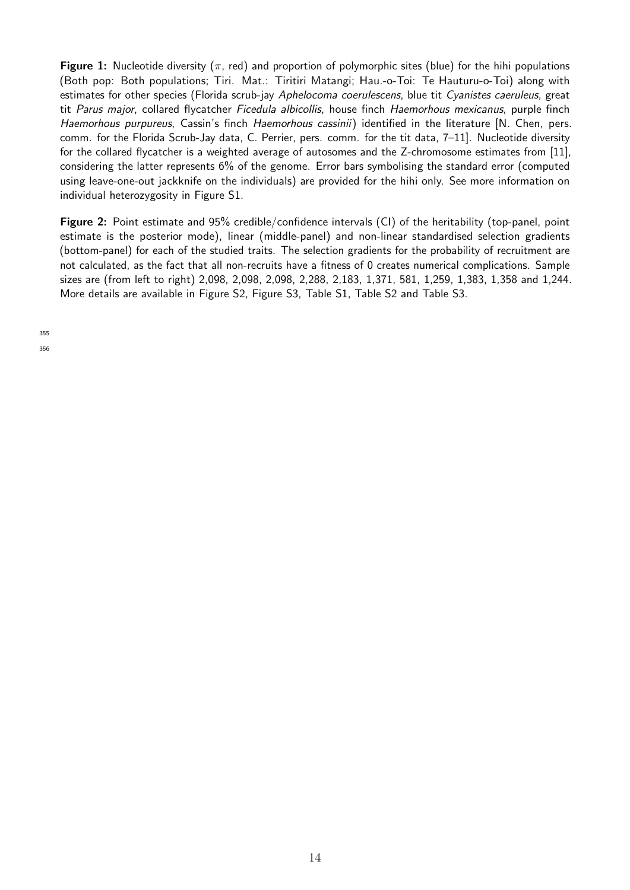**Figure 1:** Nucleotide diversity ( $\pi$ , red) and proportion of polymorphic sites (blue) for the hihi populations (Both pop: Both populations; Tiri. Mat.: Tiritiri Matangi; Hau.-o-Toi: Te Hauturu-o-Toi) along with estimates for other species (Florida scrub-jay Aphelocoma coerulescens, blue tit Cyanistes caeruleus, great tit Parus major, collared flycatcher Ficedula albicollis, house finch Haemorhous mexicanus, purple finch Haemorhous purpureus, Cassin's finch Haemorhous cassinii) identified in the literature [N. Chen, pers. comm. for the Florida Scrub-Jay data, C. Perrier, pers. comm. for the tit data, 7–11]. Nucleotide diversity for the collared flycatcher is a weighted average of autosomes and the Z-chromosome estimates from [11], considering the latter represents 6% of the genome. Error bars symbolising the standard error (computed using leave-one-out jackknife on the individuals) are provided for the hihi only. See more information on individual heterozygosity in Figure S1.

Figure 2: Point estimate and 95% credible/confidence intervals (CI) of the heritability (top-panel, point estimate is the posterior mode), linear (middle-panel) and non-linear standardised selection gradients (bottom-panel) for each of the studied traits. The selection gradients for the probability of recruitment are not calculated, as the fact that all non-recruits have a fitness of 0 creates numerical complications. Sample sizes are (from left to right) 2,098, 2,098, 2,098, 2,288, 2,183, 1,371, 581, 1,259, 1,383, 1,358 and 1,244. More details are available in Figure S2, Figure S3, Table S1, Table S2 and Table S3.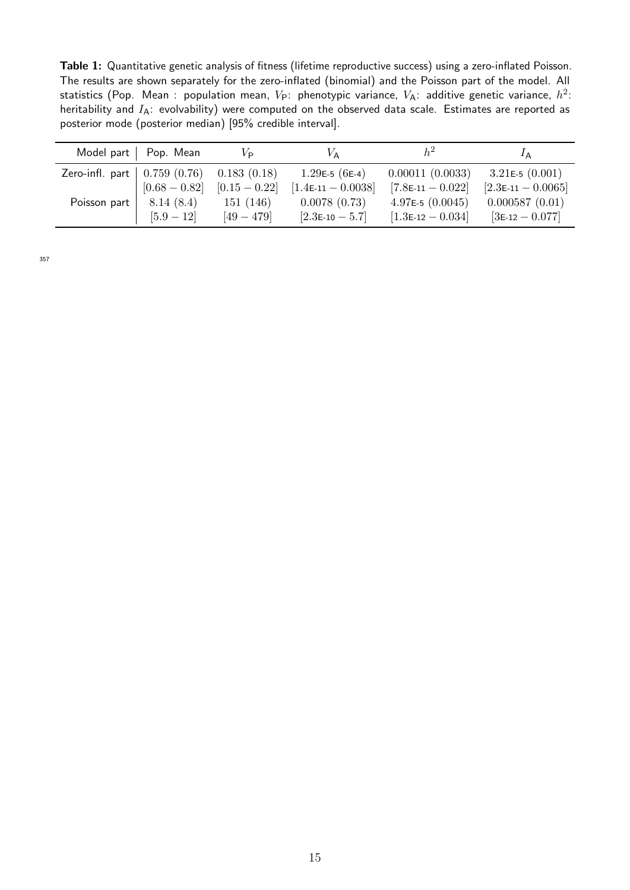Table 1: Quantitative genetic analysis of fitness (lifetime reproductive success) using a zero-inflated Poisson. The results are shown separately for the zero-inflated (binomial) and the Poisson part of the model. All statistics (Pop. Mean : population mean,  $V_{\sf P}$ : phenotypic variance,  $V_{\sf A}$ : additive genetic variance,  $h^2$ : heritability and  $I_A$ : evolvability) were computed on the observed data scale. Estimates are reported as posterior mode (posterior median) [95% credible interval].

|                                           | Model part   Pop. Mean | $V_{\text{P}}$  | $V_{\rm A}$             |                     | ĪΑ                   |
|-------------------------------------------|------------------------|-----------------|-------------------------|---------------------|----------------------|
| Zero-infl. part $\vert 0.759(0.76) \vert$ |                        | 0.183(0.18)     | 1.29E-5 (6E-4)          | 0.00011(0.0033)     | 3.21 $E=5(0.001)$    |
|                                           | $[0.68 - 0.82]$        | $[0.15 - 0.22]$ | $[1.4$ E-11 - $0.0038]$ | $[7.8E-11 - 0.022]$ | $[2.3E-11 - 0.0065]$ |
| Poisson part                              | 8.14(8.4)              | 151(146)        | 0.0078(0.73)            | 4.97E-5 $(0.0045)$  | 0.000587(0.01)       |
|                                           | $[5.9 - 12]$           | $[49 - 479]$    | $[2.3E-10 - 5.7]$       | $[1.3E-12 - 0.034]$ | $[3E-12 - 0.077]$    |

357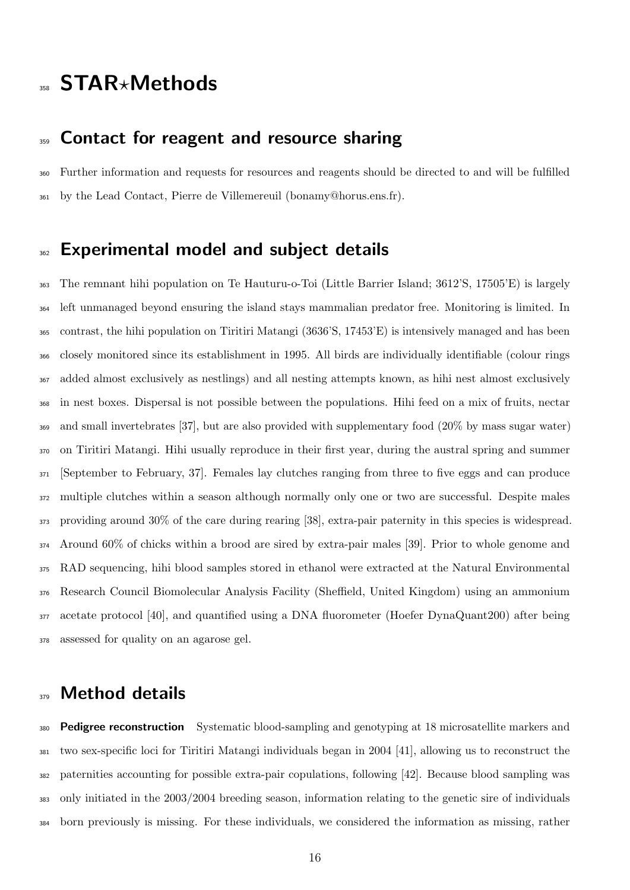## 358 STAR\*Methods

### 359 Contact for reagent and resource sharing

 Further information and requests for resources and reagents should be directed to and will be fulfilled by the Lead Contact, Pierre de Villemereuil (bonamy@horus.ens.fr).

### 362 Experimental model and subiect details

 The remnant hihi population on Te Hauturu-o-Toi (Little Barrier Island; 3612'S, 17505'E) is largely left unmanaged beyond ensuring the island stays mammalian predator free. Monitoring is limited. In contrast, the hihi population on Tiritiri Matangi (3636'S, 17453'E) is intensively managed and has been closely monitored since its establishment in 1995. All birds are individually identifiable (colour rings added almost exclusively as nestlings) and all nesting attempts known, as hihi nest almost exclusively in nest boxes. Dispersal is not possible between the populations. Hihi feed on a mix of fruits, nectar and small invertebrates [37], but are also provided with supplementary food (20% by mass sugar water) on Tiritiri Matangi. Hihi usually reproduce in their first year, during the austral spring and summer [September to February, 37]. Females lay clutches ranging from three to five eggs and can produce multiple clutches within a season although normally only one or two are successful. Despite males providing around 30% of the care during rearing [38], extra-pair paternity in this species is widespread. Around 60% of chicks within a brood are sired by extra-pair males [39]. Prior to whole genome and RAD sequencing, hihi blood samples stored in ethanol were extracted at the Natural Environmental Research Council Biomolecular Analysis Facility (Sheffield, United Kingdom) using an ammonium acetate protocol [40], and quantified using a DNA fluorometer (Hoefer DynaQuant200) after being assessed for quality on an agarose gel.

### 379 Method details

**Pedigree reconstruction** Systematic blood-sampling and genotyping at 18 microsatellite markers and two sex-specific loci for Tiritiri Matangi individuals began in 2004 [41], allowing us to reconstruct the paternities accounting for possible extra-pair copulations, following [42]. Because blood sampling was only initiated in the 2003/2004 breeding season, information relating to the genetic sire of individuals born previously is missing. For these individuals, we considered the information as missing, rather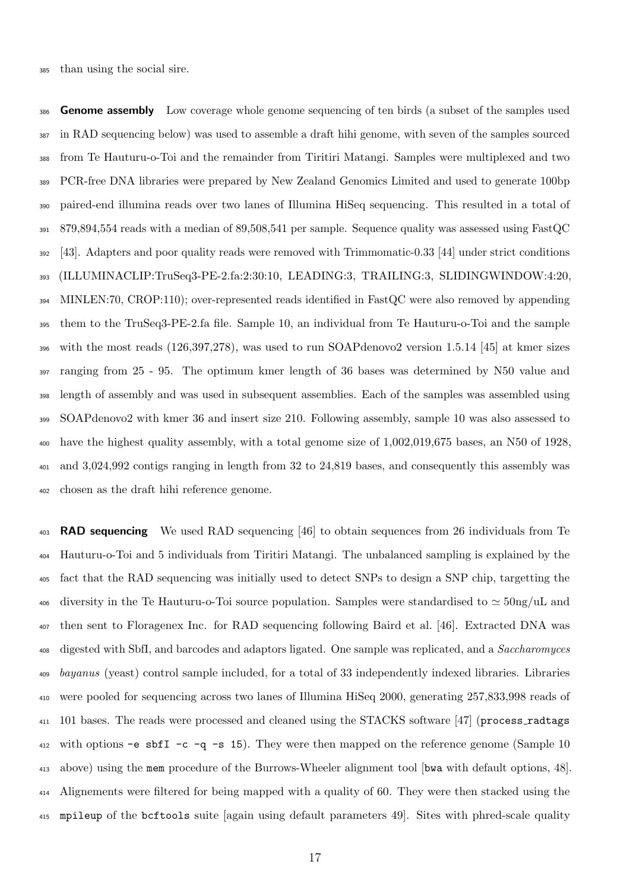**Genome assembly** Low coverage whole genome sequencing of ten birds (a subset of the samples used in RAD sequencing below) was used to assemble a draft hihi genome, with seven of the samples sourced from Te Hauturu-o-Toi and the remainder from Tiritiri Matangi. Samples were multiplexed and two PCR-free DNA libraries were prepared by New Zealand Genomics Limited and used to generate 100bp paired-end illumina reads over two lanes of Illumina HiSeq sequencing. This resulted in a total of 879,894,554 reads with a median of 89,508,541 per sample. Sequence quality was assessed using FastQC [43]. Adapters and poor quality reads were removed with Trimmomatic-0.33 [44] under strict conditions (ILLUMINACLIP:TruSeq3-PE-2.fa:2:30:10, LEADING:3, TRAILING:3, SLIDINGWINDOW:4:20, MINLEN:70, CROP:110); over-represented reads identified in FastQC were also removed by appending them to the TruSeq3-PE-2.fa file. Sample 10, an individual from Te Hauturu-o-Toi and the sample with the most reads (126,397,278), was used to run SOAPdenovo2 version 1.5.14 [45] at kmer sizes ranging from 25 - 95. The optimum kmer length of 36 bases was determined by N50 value and length of assembly and was used in subsequent assemblies. Each of the samples was assembled using SOAPdenovo2 with kmer 36 and insert size 210. Following assembly, sample 10 was also assessed to have the highest quality assembly, with a total genome size of 1,002,019,675 bases, an N50 of 1928, and 3,024,992 contigs ranging in length from 32 to 24,819 bases, and consequently this assembly was chosen as the draft hihi reference genome.

**RAD sequencing** We used RAD sequencing [46] to obtain sequences from 26 individuals from Te Hauturu-o-Toi and 5 individuals from Tiritiri Matangi. The unbalanced sampling is explained by the fact that the RAD sequencing was initially used to detect SNPs to design a SNP chip, targetting the 406 diversity in the Te Hauturu-o-Toi source population. Samples were standardised to  $\simeq 50$ ng/uL and then sent to Floragenex Inc. for RAD sequencing following Baird et al. [46]. Extracted DNA was <sup>408</sup> digested with SbfI, and barcodes and adaptors ligated. One sample was replicated, and a *Saccharomyces* <sup>409</sup> bayanus (yeast) control sample included, for a total of 33 independently indexed libraries. Libraries were pooled for sequencing across two lanes of Illumina HiSeq 2000, generating 257,833,998 reads of 411 101 bases. The reads were processed and cleaned using the STACKS software [47] (process\_radtags with options -e sbfI -c -q -s 15). They were then mapped on the reference genome (Sample 10 above) using the mem procedure of the Burrows-Wheeler alignment tool [bwa with default options, 48]. Alignements were filtered for being mapped with a quality of 60. They were then stacked using the mpileup of the bcftools suite [again using default parameters 49]. Sites with phred-scale quality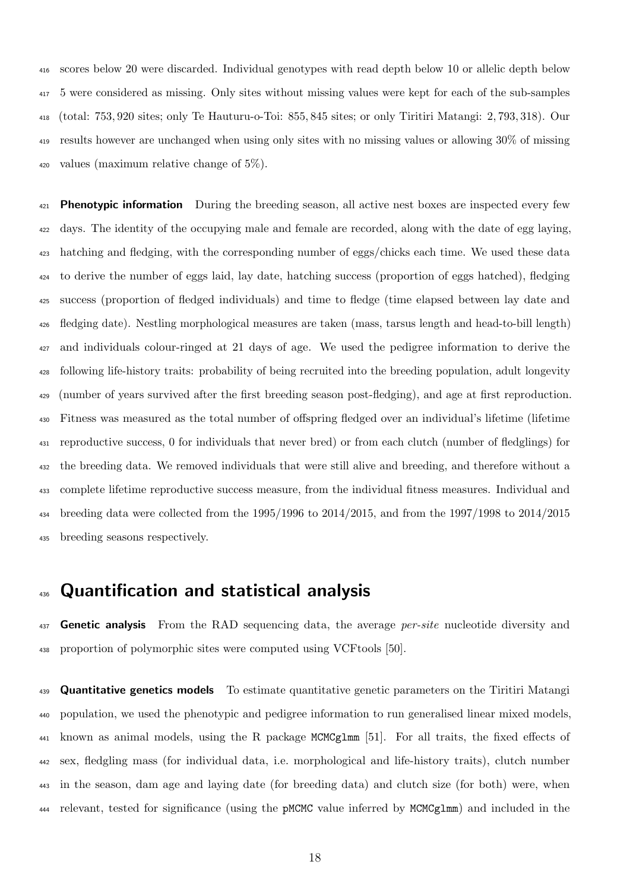scores below 20 were discarded. Individual genotypes with read depth below 10 or allelic depth below 5 were considered as missing. Only sites without missing values were kept for each of the sub-samples (total: 753, 920 sites; only Te Hauturu-o-Toi: 855, 845 sites; or only Tiritiri Matangi: 2, 793, 318). Our results however are unchanged when using only sites with no missing values or allowing 30% of missing 420 values (maximum relative change of  $5\%$ ).

 Phenotypic information During the breeding season, all active nest boxes are inspected every few days. The identity of the occupying male and female are recorded, along with the date of egg laying, hatching and fledging, with the corresponding number of eggs/chicks each time. We used these data to derive the number of eggs laid, lay date, hatching success (proportion of eggs hatched), fledging success (proportion of fledged individuals) and time to fledge (time elapsed between lay date and fledging date). Nestling morphological measures are taken (mass, tarsus length and head-to-bill length) and individuals colour-ringed at 21 days of age. We used the pedigree information to derive the following life-history traits: probability of being recruited into the breeding population, adult longevity (number of years survived after the first breeding season post-fledging), and age at first reproduction. Fitness was measured as the total number of offspring fledged over an individual's lifetime (lifetime reproductive success, 0 for individuals that never bred) or from each clutch (number of fledglings) for the breeding data. We removed individuals that were still alive and breeding, and therefore without a complete lifetime reproductive success measure, from the individual fitness measures. Individual and breeding data were collected from the 1995/1996 to 2014/2015, and from the 1997/1998 to 2014/2015 breeding seasons respectively.

### 436 Quantification and statistical analysis

**Genetic analysis** From the RAD sequencing data, the average *per-site* nucleotide diversity and proportion of polymorphic sites were computed using VCFtools [50].

**Quantitative genetics models** To estimate quantitative genetic parameters on the Tiritiri Matangi population, we used the phenotypic and pedigree information to run generalised linear mixed models, known as animal models, using the R package MCMCglmm [51]. For all traits, the fixed effects of sex, fledgling mass (for individual data, i.e. morphological and life-history traits), clutch number in the season, dam age and laying date (for breeding data) and clutch size (for both) were, when relevant, tested for significance (using the pMCMC value inferred by MCMCglmm) and included in the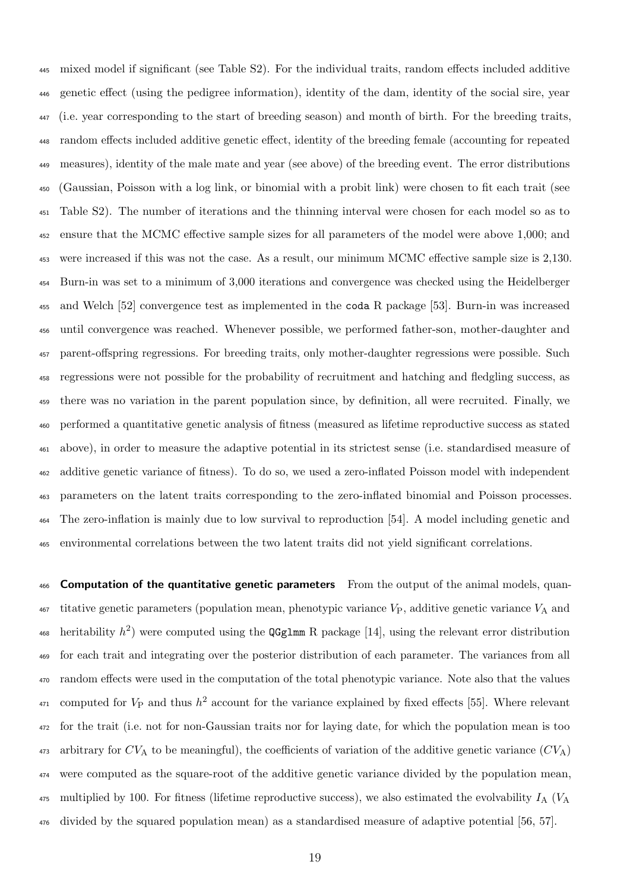mixed model if significant (see Table S2). For the individual traits, random effects included additive genetic effect (using the pedigree information), identity of the dam, identity of the social sire, year (i.e. year corresponding to the start of breeding season) and month of birth. For the breeding traits, random effects included additive genetic effect, identity of the breeding female (accounting for repeated measures), identity of the male mate and year (see above) of the breeding event. The error distributions (Gaussian, Poisson with a log link, or binomial with a probit link) were chosen to fit each trait (see Table S2). The number of iterations and the thinning interval were chosen for each model so as to ensure that the MCMC effective sample sizes for all parameters of the model were above 1,000; and were increased if this was not the case. As a result, our minimum MCMC effective sample size is 2,130. Burn-in was set to a minimum of 3,000 iterations and convergence was checked using the Heidelberger and Welch [52] convergence test as implemented in the coda R package [53]. Burn-in was increased until convergence was reached. Whenever possible, we performed father-son, mother-daughter and parent-offspring regressions. For breeding traits, only mother-daughter regressions were possible. Such regressions were not possible for the probability of recruitment and hatching and fledgling success, as there was no variation in the parent population since, by definition, all were recruited. Finally, we performed a quantitative genetic analysis of fitness (measured as lifetime reproductive success as stated above), in order to measure the adaptive potential in its strictest sense (i.e. standardised measure of additive genetic variance of fitness). To do so, we used a zero-inflated Poisson model with independent parameters on the latent traits corresponding to the zero-inflated binomial and Poisson processes. The zero-inflation is mainly due to low survival to reproduction [54]. A model including genetic and environmental correlations between the two latent traits did not yield significant correlations.

466 Computation of the quantitative genetic parameters From the output of the animal models, quan- $_{467}$  titative genetic parameters (population mean, phenotypic variance  $V_{P}$ , additive genetic variance  $V_{A}$  and 468 heritability  $h^2$ ) were computed using the QGglmm R package [14], using the relevant error distribution for each trait and integrating over the posterior distribution of each parameter. The variances from all random effects were used in the computation of the total phenotypic variance. Note also that the values <sup>471</sup> computed for  $V_P$  and thus  $h^2$  account for the variance explained by fixed effects [55]. Where relevant for the trait (i.e. not for non-Gaussian traits nor for laying date, for which the population mean is too arbitrary for  $CV_A$  to be meaningful), the coefficients of variation of the additive genetic variance  $(CV_A)$  were computed as the square-root of the additive genetic variance divided by the population mean,  $_{475}$  multiplied by 100. For fitness (lifetime reproductive success), we also estimated the evolvability  $I_A$  ( $V_A$ divided by the squared population mean) as a standardised measure of adaptive potential [56, 57].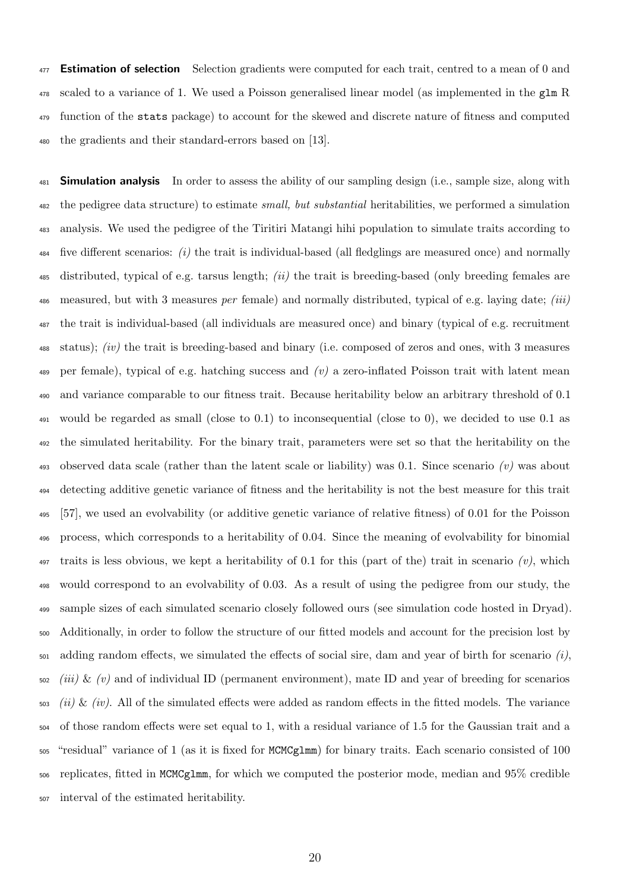Estimation of selection Selection gradients were computed for each trait, centred to a mean of 0 and scaled to a variance of 1. We used a Poisson generalised linear model (as implemented in the glm R function of the stats package) to account for the skewed and discrete nature of fitness and computed the gradients and their standard-errors based on [13].

**Simulation analysis** In order to assess the ability of our sampling design (i.e., sample size, along with the pedigree data structure) to estimate small, but substantial heritabilities, we performed a simulation analysis. We used the pedigree of the Tiritiri Matangi hihi population to simulate traits according to  $_{484}$  five different scenarios: (i) the trait is individual-based (all fledglings are measured once) and normally 485 distributed, typical of e.g. tarsus length; (ii) the trait is breeding-based (only breeding females are measured, but with 3 measures per female) and normally distributed, typical of e.g. laying date; (iii) the trait is individual-based (all individuals are measured once) and binary (typical of e.g. recruitment status); (iv) the trait is breeding-based and binary (i.e. composed of zeros and ones, with 3 measures 489 per female), typical of e.g. hatching success and  $(v)$  a zero-inflated Poisson trait with latent mean and variance comparable to our fitness trait. Because heritability below an arbitrary threshold of 0.1 would be regarded as small (close to 0.1) to inconsequential (close to 0), we decided to use 0.1 as the simulated heritability. For the binary trait, parameters were set so that the heritability on the 493 observed data scale (rather than the latent scale or liability) was 0.1. Since scenario (v) was about detecting additive genetic variance of fitness and the heritability is not the best measure for this trait [57], we used an evolvability (or additive genetic variance of relative fitness) of 0.01 for the Poisson process, which corresponds to a heritability of 0.04. Since the meaning of evolvability for binomial 497 traits is less obvious, we kept a heritability of 0.1 for this (part of the) trait in scenario  $(v)$ , which would correspond to an evolvability of 0.03. As a result of using the pedigree from our study, the sample sizes of each simulated scenario closely followed ours (see simulation code hosted in Dryad). Additionally, in order to follow the structure of our fitted models and account for the precision lost by  $_{501}$  adding random effects, we simulated the effects of social sire, dam and year of birth for scenario  $(i)$ . *(iii)* & *(v)* and of individual ID (permanent environment), mate ID and year of breeding for scenarios  $\frac{1}{503}$  (ii) & (iv). All of the simulated effects were added as random effects in the fitted models. The variance of those random effects were set equal to 1, with a residual variance of 1.5 for the Gaussian trait and a "residual" variance of 1 (as it is fixed for MCMCglmm) for binary traits. Each scenario consisted of 100 replicates, fitted in MCMCglmm, for which we computed the posterior mode, median and 95% credible interval of the estimated heritability.